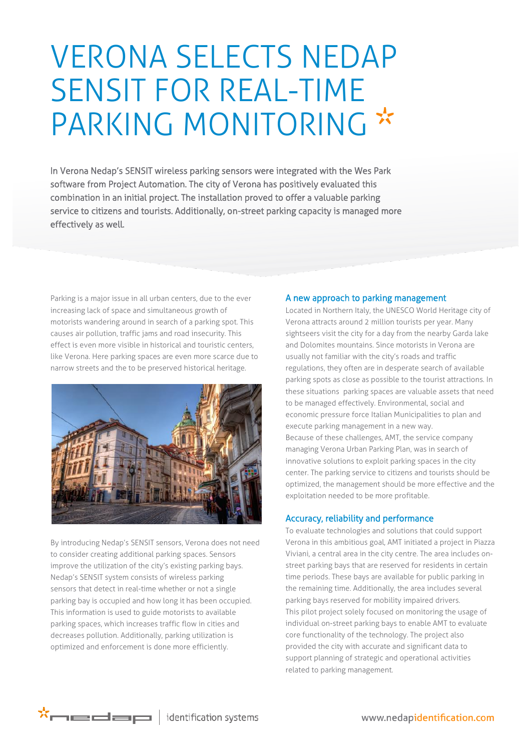## VERONA SELECTS NEDAP SENSIT FOR REAL-TIME PARKING MONITORING \*

combination in an initial project. The installation proved to offer a valuable parking In Verona Nedap's SENSIT wireless parking sensors were integrated with the Wes Park software from Project Automation. The city of Verona has positively evaluated this service to citizens and tourists. Additionally, on-street parking capacity is managed more effectively as well.

Parking is a major issue in all urban centers, due to the ever increasing lack of space and simultaneous growth of motorists wandering around in search of a parking spot. This causes air pollution, traffic jams and road insecurity. This effect is even more visible in historical and touristic centers, like Verona. Here parking spaces are even more scarce due to narrow streets and the to be preserved historical heritage.



By introducing Nedap's SENSIT sensors, Verona does not need to consider creating additional parking spaces. Sensors improve the utilization of the city's existing parking bays. Nedap's SENSIT system consists of [wireless parking](http://www.nedapidentification.com/products/sensit/)  [sensors](http://www.nedapidentification.com/products/sensit/) that detect in real-time whether or not a single parking bay is occupied and how long it has been occupied. This information is used to guide motorists to available parking spaces, which increases traffic flow in cities and decreases pollution. Additionally, parking utilization is optimized and enforcement is done more efficiently.

## A new approach to parking management

Located in Northern Italy, the UNESCO World Heritage city of Verona attracts around 2 million tourists per year. Many sightseers visit the city for a day from the nearby Garda lake and Dolomites mountains. Since motorists in Verona are usually not familiar with the city's roads and traffic regulations, they often are in desperate search of available parking spots as close as possible to the tourist attractions. In these situations parking spaces are valuable assets that need to be managed effectively. Environmental, social and economic pressure force Italian Municipalities to plan and execute parking management in a new way. Because of these challenges, AMT, the service company managing Verona Urban Parking Plan, was in search of innovative solutions to exploit parking spaces in the city center. The parking service to citizens and tourists should be optimized, the management should be more effective and the exploitation needed to be more profitable.

## Accuracy, reliability and performance

To evaluate technologies and solutions that could support Verona in this ambitious goal, AMT initiated a project in Piazza Viviani, a central area in the city centre. The area includes onstreet parking bays that are reserved for residents in certain time periods. These bays are available for public parking in the remaining time. Additionally, the area includes several parking bays reserved for mobility impaired drivers. This pilot project solely focused on monitoring the usage of individual on-street parking bays to enable AMT to evaluate core functionality of the technology. The project also provided the city with accurate and significant data to support planning of strategic and operational activities related to parking management.

 $\star$  $\sim$   $\equiv$   $\equiv$   $\equiv$   $\mid$  identification systems